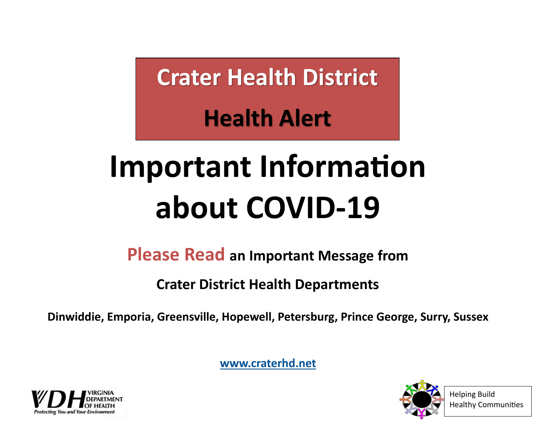**Crater Health District**

**Health Alert**

# **Important Information about COVID-19**

**Please Read an Important Message from** 

**Crater District Health Departments**

**Dinwiddie, Emporia, Greensville, Hopewell, Petersburg, Prince George, Surry, Sussex**

**[www.craterhd.net](http://www.craterhd.net)**





Helping Build Healthy Communities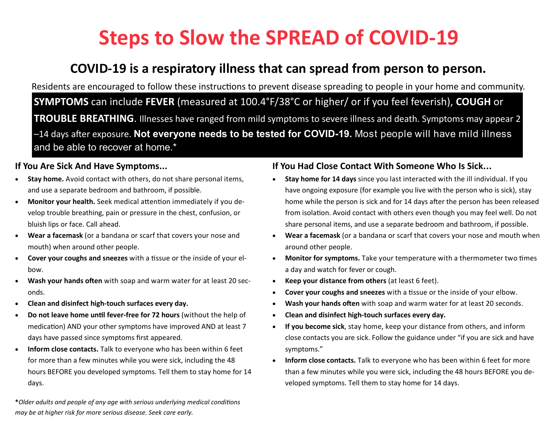# **Steps to Slow the SPREAD of COVID-19**

# **COVID-19 is a respiratory illness that can spread from person to person.**

Residents are encouraged to follow these instructions to prevent disease spreading to people in your home and community. **SYMPTOMS** can include **FEVER** (measured at 100.4°F/38°C or higher/ or if you feel feverish), **COUGH** or **TROUBLE BREATHING**. Illnesses have ranged from mild symptoms to severe illness and death. Symptoms may appear 2 –14 days after exposure. **Not everyone needs to be tested for COVID-19.** Most people will have mild illness and be able to recover at home.\*

#### **If You Are Sick And Have Symptoms...**

- **Stay home.** Avoid contact with others, do not share personal items, and use a separate bedroom and bathroom, if possible.
- **Monitor your health.** Seek medical attention immediately if you develop trouble breathing, pain or pressure in the chest, confusion, or bluish lips or face. Call ahead.
- **Wear a facemask** (or a bandana or scarf that covers your nose and mouth) when around other people.
- **Cover your coughs and sneezes** with a tissue or the inside of your elbow.
- **Wash your hands often** with soap and warm water for at least 20 seconds.
- **Clean and disinfect high-touch surfaces every day.**
- **Do not leave home until fever-free for 72 hours** (without the help of medication) AND your other symptoms have improved AND at least 7 days have passed since symptoms first appeared.
- **Inform close contacts.** Talk to everyone who has been within 6 feet for more than a few minutes while you were sick, including the 48 hours BEFORE you developed symptoms. Tell them to stay home for 14 days.

**\****Older adults and people of any age with serious underlying medical conditions may be at higher risk for more serious disease. Seek care early.*

#### **If You Had Close Contact With Someone Who Is Sick...**

- **Stay home for 14 days** since you last interacted with the ill individual. If you have ongoing exposure (for example you live with the person who is sick), stay home while the person is sick and for 14 days after the person has been released from isolation. Avoid contact with others even though you may feel well. Do not share personal items, and use a separate bedroom and bathroom, if possible.
- **Wear a facemask** (or a bandana or scarf that covers your nose and mouth when around other people.
- **Monitor for symptoms.** Take your temperature with a thermometer two times a day and watch for fever or cough.
- **Keep your distance from others** (at least 6 feet).
- **Cover your coughs and sneezes** with a tissue or the inside of your elbow.
- **Wash your hands often** with soap and warm water for at least 20 seconds.
- **Clean and disinfect high-touch surfaces every day.**
- **If you become sick**, stay home, keep your distance from others, and inform close contacts you are sick. Follow the guidance under "if you are sick and have symptoms."
- **Inform close contacts.** Talk to everyone who has been within 6 feet for more than a few minutes while you were sick, including the 48 hours BEFORE you developed symptoms. Tell them to stay home for 14 days.